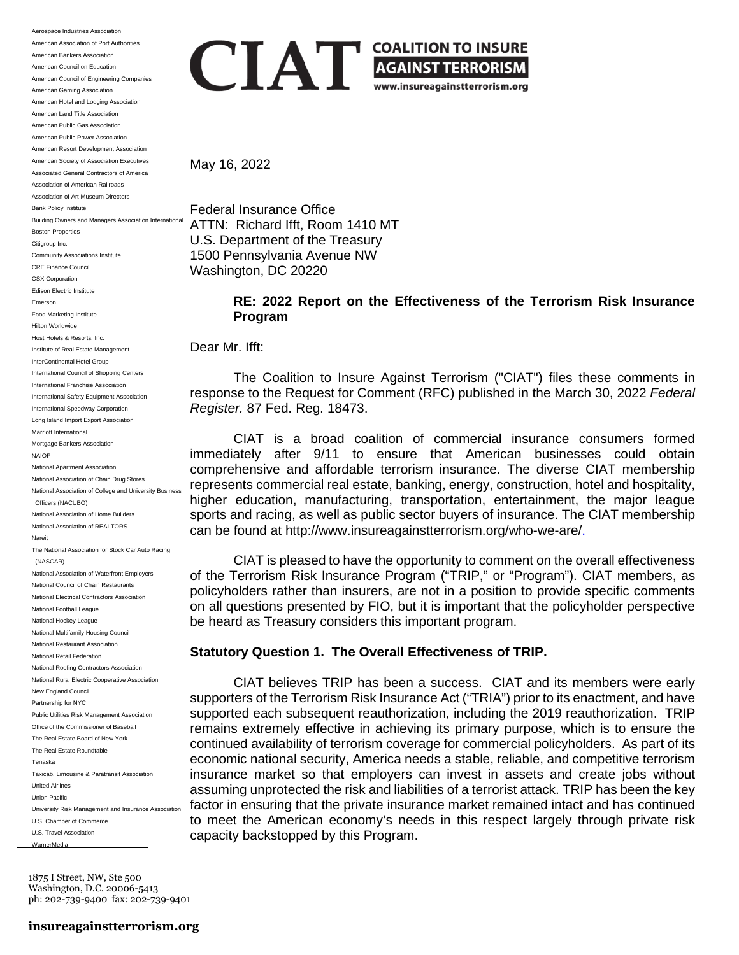Aerospace Industries Association American Association of Port Authorities American Bankers Association American Council on Education American Council of Engineering Companies American Gaming Association American Hotel and Lodging Association American Land Title Association American Public Gas Association American Public Power Association American Resort Development Association American Society of Association Executives Associated General Contractors of America Association of American Railroads Association of Art Museum Directors Bank Policy Institute Building Owners and Managers Association International Boston Properties Citigroup Inc. Community Associations Institute CRE Finance Council CSX Corporation Edison Electric Institute Emerson Food Marketing Institute Hilton Worldwide Host Hotels & Resorts, Inc. Institute of Real Estate Management InterContinental Hotel Group International Council of Shopping Centers International Franchise Association International Safety Equipment Association International Speedway Corporation Long Island Import Export Association Marriott International Mortgage Bankers Association NAIOP National Apartment Association National Association of Chain Drug Stores National Association of College and University Business Officers (NACUBO) National Association of Home Builders National Association of REALTORS Nareit The National Association for Stock Car Auto Racing (NASCAR) National Association of Waterfront Employers National Council of Chain Restaurants National Electrical Contractors Association National Football League National Hockey League National Multifamily Housing Council National Restaurant Association National Retail Federation National Roofing Contractors Association National Rural Electric Cooperative Association New England Council Partnership for NYC Public Utilities Risk Management Association Office of the Commissioner of Baseball The Real Estate Board of New York The Real Estate Roundtable Tenaska Taxicab, Limousine & Paratransit Association United Airlines Union Pacific University Risk Management and Insurance Association U.S. Chamber of Commerce U.S. Travel Association WarnerMedia

1875 I Street, NW, Ste 500 Washington, D.C. 20006-5413 ph: 202-739-9400 fax: 202-739-9401



May 16, 2022

Federal Insurance Office ATTN: Richard Ifft, Room 1410 MT U.S. Department of the Treasury 1500 Pennsylvania Avenue NW Washington, DC 20220

> **RE: 2022 Report on the Effectiveness of the Terrorism Risk Insurance Program**

Dear Mr. Ifft:

The Coalition to Insure Against Terrorism ("CIAT") files these comments in response to the Request for Comment (RFC) published in the March 30, 2022 *Federal Register.* 87 Fed. Reg. 18473.

CIAT is a broad coalition of commercial insurance consumers formed immediately after 9/11 to ensure that American businesses could obtain comprehensive and affordable terrorism insurance. The diverse CIAT membership represents commercial real estate, banking, energy, construction, hotel and hospitality, higher education, manufacturing, transportation, entertainment, the major league sports and racing, as well as public sector buyers of insurance. The CIAT membership can be found at http://www.insureagainstterrorism.org/who-we-are/.

CIAT is pleased to have the opportunity to comment on the overall effectiveness of the Terrorism Risk Insurance Program ("TRIP," or "Program"). CIAT members, as policyholders rather than insurers, are not in a position to provide specific comments on all questions presented by FIO, but it is important that the policyholder perspective be heard as Treasury considers this important program.

# **Statutory Question 1. The Overall Effectiveness of TRIP.**

CIAT believes TRIP has been a success. CIAT and its members were early supporters of the Terrorism Risk Insurance Act ("TRIA") prior to its enactment, and have supported each subsequent reauthorization, including the 2019 reauthorization. TRIP remains extremely effective in achieving its primary purpose, which is to ensure the continued availability of terrorism coverage for commercial policyholders. As part of its economic national security, America needs a stable, reliable, and competitive terrorism insurance market so that employers can invest in assets and create jobs without assuming unprotected the risk and liabilities of a terrorist attack. TRIP has been the key factor in ensuring that the private insurance market remained intact and has continued to meet the American economy's needs in this respect largely through private risk capacity backstopped by this Program.

# **insureagainstterrorism.org**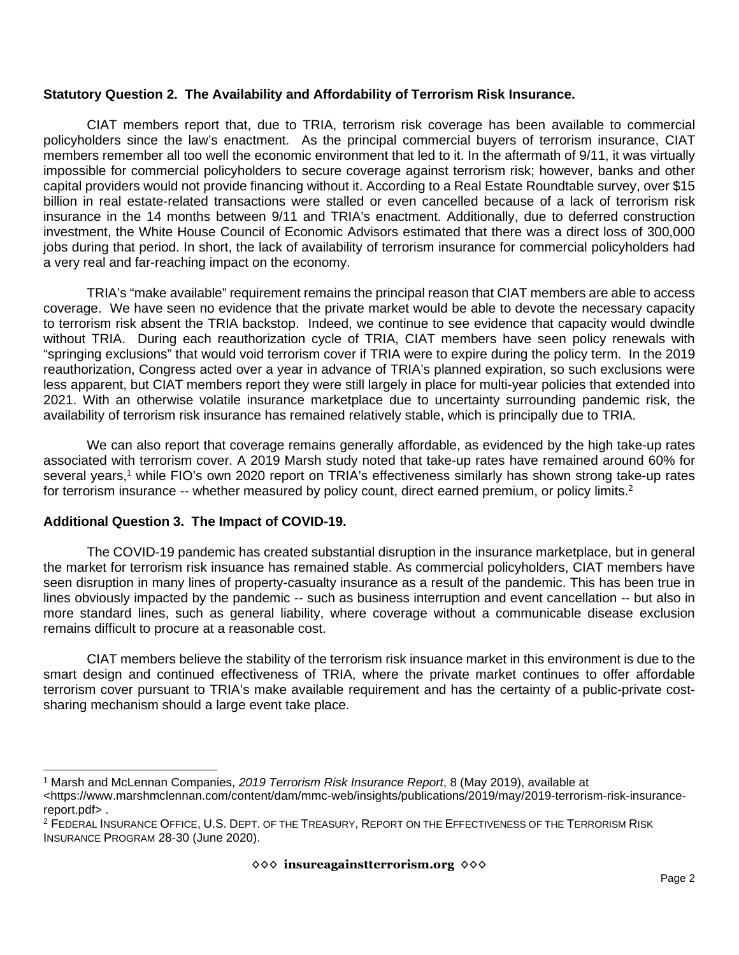### **Statutory Question 2. The Availability and Affordability of Terrorism Risk Insurance.**

CIAT members report that, due to TRIA, terrorism risk coverage has been available to commercial policyholders since the law's enactment. As the principal commercial buyers of terrorism insurance, CIAT members remember all too well the economic environment that led to it. In the aftermath of 9/11, it was virtually impossible for commercial policyholders to secure coverage against terrorism risk; however, banks and other capital providers would not provide financing without it. According to a Real Estate Roundtable survey, over \$15 billion in real estate-related transactions were stalled or even cancelled because of a lack of terrorism risk insurance in the 14 months between 9/11 and TRIA's enactment. Additionally, due to deferred construction investment, the White House Council of Economic Advisors estimated that there was a direct loss of 300,000 jobs during that period. In short, the lack of availability of terrorism insurance for commercial policyholders had a very real and far-reaching impact on the economy.

TRIA's "make available" requirement remains the principal reason that CIAT members are able to access coverage. We have seen no evidence that the private market would be able to devote the necessary capacity to terrorism risk absent the TRIA backstop. Indeed, we continue to see evidence that capacity would dwindle without TRIA. During each reauthorization cycle of TRIA, CIAT members have seen policy renewals with "springing exclusions" that would void terrorism cover if TRIA were to expire during the policy term. In the 2019 reauthorization, Congress acted over a year in advance of TRIA's planned expiration, so such exclusions were less apparent, but CIAT members report they were still largely in place for multi-year policies that extended into 2021. With an otherwise volatile insurance marketplace due to uncertainty surrounding pandemic risk, the availability of terrorism risk insurance has remained relatively stable, which is principally due to TRIA.

We can also report that coverage remains generally affordable, as evidenced by the high take-up rates associated with terrorism cover. A 2019 Marsh study noted that take-up rates have remained around 60% for several years,<sup>1</sup> while FIO's own 2020 report on TRIA's effectiveness similarly has shown strong take-up rates for terrorism insurance -- whether measured by policy count, direct earned premium, or policy limits.<sup>2</sup>

# **Additional Question 3. The Impact of COVID-19.**

The COVID-19 pandemic has created substantial disruption in the insurance marketplace, but in general the market for terrorism risk insuance has remained stable. As commercial policyholders, CIAT members have seen disruption in many lines of property-casualty insurance as a result of the pandemic. This has been true in lines obviously impacted by the pandemic -- such as business interruption and event cancellation -- but also in more standard lines, such as general liability, where coverage without a communicable disease exclusion remains difficult to procure at a reasonable cost.

CIAT members believe the stability of the terrorism risk insuance market in this environment is due to the smart design and continued effectiveness of TRIA, where the private market continues to offer affordable terrorism cover pursuant to TRIA's make available requirement and has the certainty of a public-private costsharing mechanism should a large event take place.

<sup>1</sup> Marsh and McLennan Companies, *2019 Terrorism Risk Insurance Report*, 8 (May 2019), available at <https://www.marshmclennan.com/content/dam/mmc-web/insights/publications/2019/may/2019-terrorism-risk-insurancereport.pdf> .

<sup>2</sup> FEDERAL INSURANCE OFFICE, U.S. DEPT. OF THE TREASURY, REPORT ON THE EFFECTIVENESS OF THE TERRORISM RISK INSURANCE PROGRAM 28-30 (June 2020).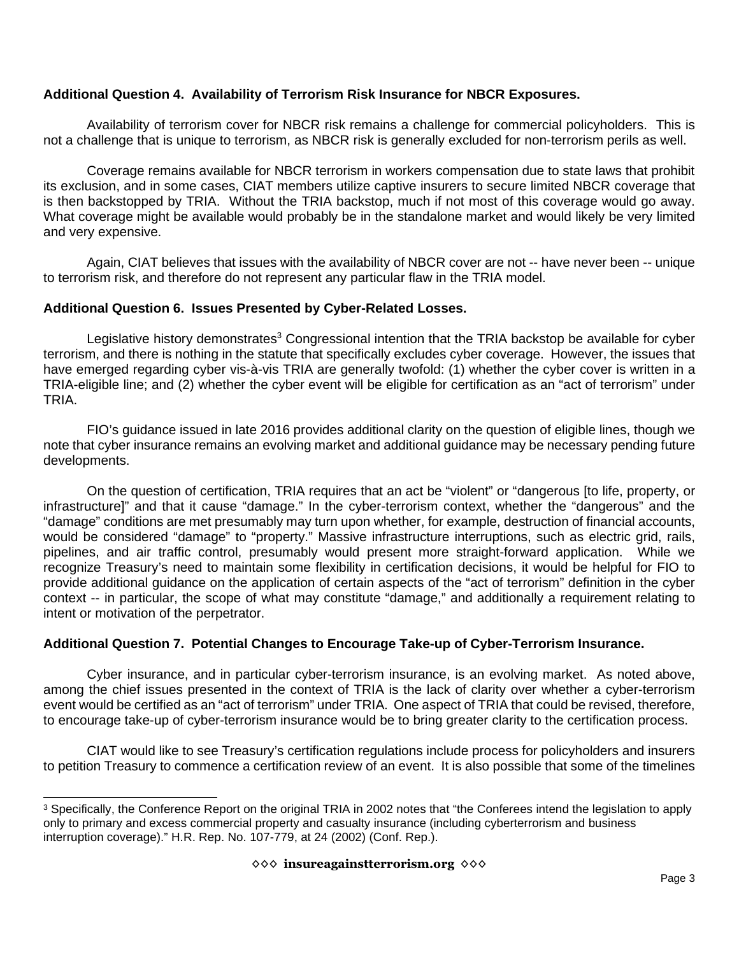# **Additional Question 4. Availability of Terrorism Risk Insurance for NBCR Exposures.**

Availability of terrorism cover for NBCR risk remains a challenge for commercial policyholders. This is not a challenge that is unique to terrorism, as NBCR risk is generally excluded for non-terrorism perils as well.

Coverage remains available for NBCR terrorism in workers compensation due to state laws that prohibit its exclusion, and in some cases, CIAT members utilize captive insurers to secure limited NBCR coverage that is then backstopped by TRIA. Without the TRIA backstop, much if not most of this coverage would go away. What coverage might be available would probably be in the standalone market and would likely be very limited and very expensive.

Again, CIAT believes that issues with the availability of NBCR cover are not -- have never been -- unique to terrorism risk, and therefore do not represent any particular flaw in the TRIA model.

# **Additional Question 6. Issues Presented by Cyber-Related Losses.**

Legislative history demonstrates<sup>3</sup> Congressional intention that the TRIA backstop be available for cyber terrorism, and there is nothing in the statute that specifically excludes cyber coverage. However, the issues that have emerged regarding cyber vis-à-vis TRIA are generally twofold: (1) whether the cyber cover is written in a TRIA-eligible line; and (2) whether the cyber event will be eligible for certification as an "act of terrorism" under TRIA.

FIO's guidance issued in late 2016 provides additional clarity on the question of eligible lines, though we note that cyber insurance remains an evolving market and additional guidance may be necessary pending future developments.

On the question of certification, TRIA requires that an act be "violent" or "dangerous [to life, property, or infrastructure]" and that it cause "damage." In the cyber-terrorism context, whether the "dangerous" and the "damage" conditions are met presumably may turn upon whether, for example, destruction of financial accounts, would be considered "damage" to "property." Massive infrastructure interruptions, such as electric grid, rails, pipelines, and air traffic control, presumably would present more straight-forward application. While we recognize Treasury's need to maintain some flexibility in certification decisions, it would be helpful for FIO to provide additional guidance on the application of certain aspects of the "act of terrorism" definition in the cyber context -- in particular, the scope of what may constitute "damage," and additionally a requirement relating to intent or motivation of the perpetrator.

# **Additional Question 7. Potential Changes to Encourage Take-up of Cyber-Terrorism Insurance.**

Cyber insurance, and in particular cyber-terrorism insurance, is an evolving market. As noted above, among the chief issues presented in the context of TRIA is the lack of clarity over whether a cyber-terrorism event would be certified as an "act of terrorism" under TRIA. One aspect of TRIA that could be revised, therefore, to encourage take-up of cyber-terrorism insurance would be to bring greater clarity to the certification process.

CIAT would like to see Treasury's certification regulations include process for policyholders and insurers to petition Treasury to commence a certification review of an event. It is also possible that some of the timelines

 $^3$  Specifically, the Conference Report on the original TRIA in 2002 notes that "the Conferees intend the legislation to apply only to primary and excess commercial property and casualty insurance (including cyberterrorism and business interruption coverage)." H.R. Rep. No. 107-779, at 24 (2002) (Conf. Rep.).